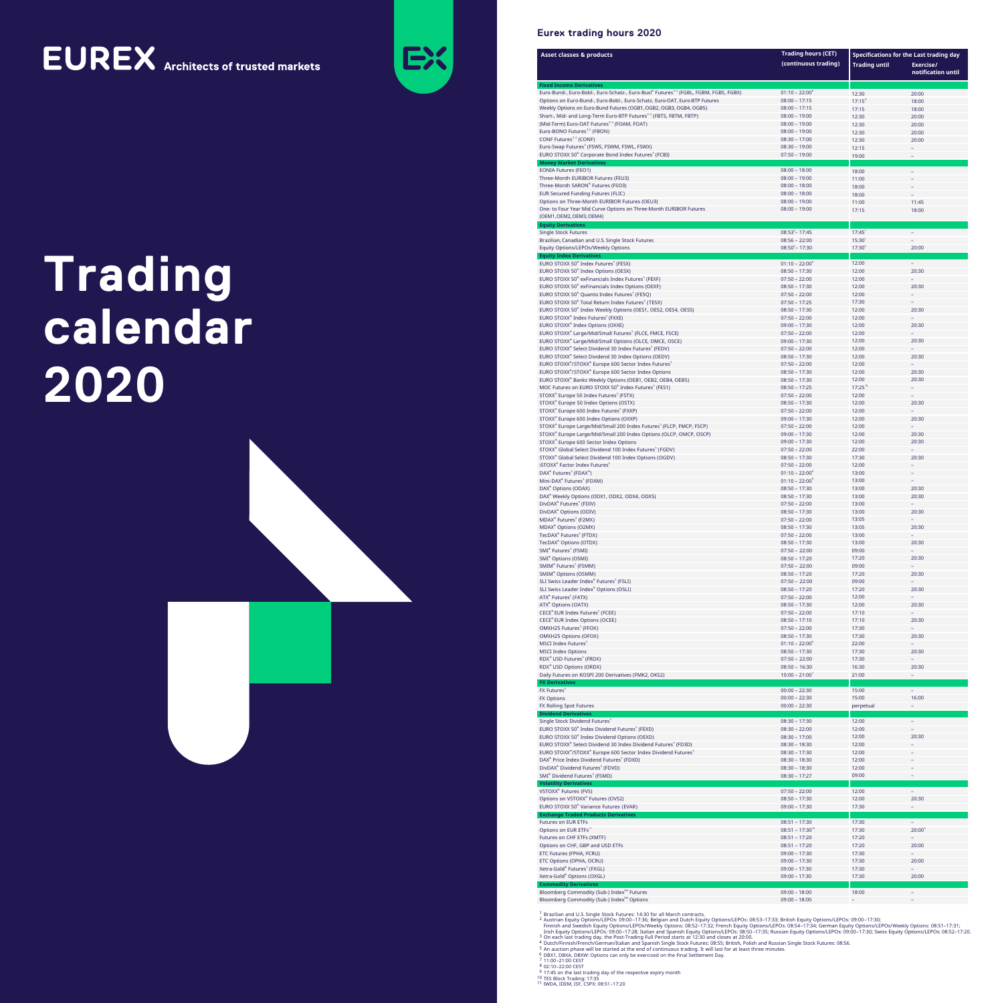## **EUREX** Architects of trusted markets



#### **Eurex trading hours 2020**

| <b>Asset classes &amp; products</b>                                                                                                                 | <b>Trading hours (CET)</b><br>(continuous trading) | Specifications for the Last trading day<br><b>Trading until</b> | Exercise/<br>notification until |
|-----------------------------------------------------------------------------------------------------------------------------------------------------|----------------------------------------------------|-----------------------------------------------------------------|---------------------------------|
| <b>Fixed Income Derivatives</b><br>Euro-Bund-, Euro-Bobl-, Euro-Schatz-, Euro-Buxl® Futures <sup>3.5</sup> (FGBL, FGBM, FGBS, FGBX)                 | $01:10 - 22:00^8$                                  | 12:30                                                           | 20:00                           |
| Options on Euro-Bund-, Euro-Bobl-, Euro-Schatz, Euro-OAT, Euro-BTP Futures                                                                          | $08:00 - 17:15$                                    | $17:15^9$                                                       | 18:00                           |
| Weekly Options on Euro-Bund Futures (OGB1, OGB2, OGB3, OGB4, OGB5)<br>Short-, Mid- and Long-Term Euro-BTP Futures <sup>3,5</sup> (FBTS, FBTM, FBTP) | $08:00 - 17:15$<br>$08:00 - 19:00$                 | 17:15                                                           | 18:00                           |
| (Mid-Term) Euro-OAT Futures <sup>3,5</sup> (FOAM, FOAT)                                                                                             | $08:00 - 19:00$                                    | 12:30<br>12:30                                                  | 20:00<br>20:00                  |
| Euro-BONO Futures <sup>3,5</sup> (FBON)                                                                                                             | $08:00 - 19:00$                                    | 12:30                                                           | 20:00                           |
| CONF Futures <sup>3,5</sup> (CONF)<br>Euro-Swap Futures <sup>5</sup> (FSWS, FSWM, FSWL, FSWX)                                                       | $08:30 - 17:00$<br>$08:30 - 19:00$                 | 12:30<br>12:15                                                  | 20:00                           |
| EURO STOXX 50® Corporate Bond Index Futures <sup>5</sup> (FCBI)                                                                                     | $07:50 - 19:00$                                    | 19:00                                                           |                                 |
| <b>Money Market Derivatives</b><br><b>EONIA Futures (FEO1)</b>                                                                                      | $08:00 - 18:00$                                    | 18:00                                                           |                                 |
| Three-Month EURIBOR Futures (FEU3)                                                                                                                  | $08:00 - 19:00$                                    | 11:00                                                           |                                 |
| Three-Month SARON® Futures (FSO3)<br><b>EUR Secured Funding Futures (FLIC)</b>                                                                      | $08:00 - 18:00$<br>$08:00 - 18:00$                 | 18:00<br>18:00                                                  |                                 |
| Options on Three-Month EURIBOR Futures (OEU3)                                                                                                       | $08:00 - 19:00$                                    | 11:00                                                           | 11:45                           |
| One- to Four Year Mid Curve Options on Three-Month EURIBOR Futures<br>(OEM1, OEM2, OEM3, OEM4)                                                      | $08:00 - 19:00$                                    | 17:15                                                           | 18:00                           |
| <b>Equity Derivatives</b>                                                                                                                           |                                                    |                                                                 |                                 |
| Single Stock Futures<br>Brazilian, Canadian and U.S. Single Stock Futures                                                                           | $08:53^{4} - 17:45$<br>$08:56 - 22:00$             | 17:45<br>15:30                                                  | $\overline{\phantom{a}}$        |
| Equity Options/LEPOs/Weekly Options                                                                                                                 | $08:50^{2} - 17:30$                                | $17:30^{2}$                                                     | 20:00                           |
| <b>Equity Index Derivatives</b><br>EURO STOXX 50® Index Futuresੇ (FESX)                                                                             | $01:10 - 22:00^8$                                  | 12:00                                                           | $\sim$                          |
| EURO STOXX 50 <sup>®</sup> Index Options (OESX)                                                                                                     | $08:50 - 17:30$                                    | 12:00                                                           | 20:30                           |
| EURO STOXX 50® exFinancials Index Futures <sup>s</sup> (FEXF)<br>EURO STOXX 50 <sup>®</sup> exFinancials Index Options (OEXF)                       | $07:50 - 22:00$<br>$08:50 - 17:30$                 | 12:00<br>12:00                                                  | 20:30                           |
| EURO STOXX 50® Quanto Index Futures <sup>5</sup> (FESQ)                                                                                             | $07:50 - 22:00$                                    | 12:00                                                           |                                 |
| EURO STOXX 50® Total Return Index Futures <sup>s</sup> (TESX)<br>EURO STOXX 50® Index Weekly Options (OES1, OES2, OES4, OES5)                       | $07:50 - 17:25$<br>$08:50 - 17:30$                 | 17:30<br>12:00                                                  | 20:30                           |
| EURO STOXX® Index Futures <sup>5</sup> (FXXE)                                                                                                       | $07:50 - 22:00$                                    | 12:00                                                           |                                 |
| EURO STOXX® Index Options (OXXE)                                                                                                                    | $09:00 - 17:30$                                    | 12:00                                                           | 20:30                           |
| EURO STOXX® Large/Mid/Small Futures $^{\circ}$ (FLCE, FMCE, FSCE)<br>EURO STOXX® Large/Mid/Small Options (OLCE, OMCE, OSCE)                         | $07:50 - 22:00$<br>$09:00 - 17:30$                 | 12:00<br>12:00                                                  | 20:30                           |
| EURO STOXX® Select Dividend 30 Index Futures (FEDV)                                                                                                 | $07:50 - 22:00$                                    | 12:00                                                           |                                 |
| EURO STOXX® Select Dividend 30 Index Options (OEDV)<br>EURO STOXX®/STOXX® Europe 600 Sector Index Futures <sup>s</sup>                              | $08:50 - 17:30$<br>$07:50 - 22:00$                 | 12:00<br>12:00                                                  | 20:30                           |
| EURO STOXX®/STOXX® Europe 600 Sector Index Options                                                                                                  | $08:50 - 17:30$                                    | 12:00                                                           | 20:30                           |
| EURO STOXX® Banks Weekly Options (OEB1, OEB2, OEB4, OEB5)                                                                                           | $08:50 - 17:30$                                    | 12:00                                                           | 20:30                           |
| MOC Futures on EURO STOXX 50® Index Futures $^{\rm 5}$ (FES1)<br>STOXX® Europe 50 Index Futures <sup>s</sup> (FSTX)                                 | $08:50 - 17:25$<br>$07:50 - 22:00$                 | $17:25^{10}$<br>12:00                                           |                                 |
| STOXX® Europe 50 Index Options (OSTX)                                                                                                               | $08:50 - 17:30$                                    | 12:00                                                           | 20:30                           |
| STOXX® Europe 600 Index Futures  (FXXP)<br>STOXX® Europe 600 Index Options (OXXP)                                                                   | $07:50 - 22:00$<br>$09:00 - 17:30$                 | 12:00<br>12:00                                                  | 20:30                           |
| STOXX <sup>®</sup> Europe Large/Mid/Small 200 Index Futures <sup>5</sup> (FLCP, FMCP, FSCP)                                                         | $07:50 - 22:00$                                    | 12:00                                                           |                                 |
| STOXX® Europe Large/Mid/Small 200 Index Options (OLCP, OMCP, OSCP)                                                                                  | $09:00 - 17:30$                                    | 12:00                                                           | 20:30                           |
| STOXX® Europe 600 Sector Index Options<br>STOXX <sup>®</sup> Global Select Dividend 100 Index Futures  (FGDV)                                       | $09:00 - 17:30$<br>$07:50 - 22:00$                 | 12:00<br>22:00                                                  | 20:30                           |
| STOXX® Global Select Dividend 100 Index Options (OGDV)                                                                                              | $08:50 - 17:30$                                    | 17:30                                                           | 20:30                           |
| iSTOXX® Factor Index Futures <sup>5</sup><br>DAX® Futures <sup>s</sup> (FDAX®)                                                                      | $07:50 - 22:00$<br>$01:10 - 22:00^8$               | 12:00<br>13:00                                                  |                                 |
| Mini-DAX® Futures <sup>5</sup> (FDXM)                                                                                                               | $01:10 - 22:00^8$                                  | 13:00                                                           |                                 |
| DAX <sup>®</sup> Options (ODAX)                                                                                                                     | $08:50 - 17:30$                                    | 13:00                                                           | 20:30                           |
| DAX <sup>®</sup> Weekly Options (ODX1, ODX2, ODX4, ODX5)<br>DivDAX® Futures <sup>5</sup> (FDIV)                                                     | $08:50 - 17:30$<br>$07:50 - 22:00$                 | 13:00<br>13:00                                                  | 20:30                           |
| DivDAX® Options (ODIV)                                                                                                                              | $08:50 - 17:30$                                    | 13:00                                                           | 20:30                           |
| MDAX® Futures <sup>s</sup> (F2MX)<br>MDAX® Options (O2MX)                                                                                           | $07:50 - 22:00$<br>$08:50 - 17:30$                 | 13:05<br>13:05                                                  | 20:30                           |
| TecDAX <sup>®</sup> Futuresੇ (FTDX)                                                                                                                 | $07:50 - 22:00$                                    | 13:00                                                           |                                 |
| TecDAX® Options (OTDX)                                                                                                                              | $08:50 - 17:30$                                    | 13:00                                                           | 20:30                           |
| SMI® Futures <sup>5</sup> (FSMI)<br>SMI® Options (OSMI)                                                                                             | $07:50 - 22:00$<br>$08:50 - 17:20$                 | 09:00<br>17:20                                                  | 20:30                           |
| SMIM® Futures <sup>s</sup> (FSMM)                                                                                                                   | $07:50 - 22:00$                                    | 09:00                                                           |                                 |
| SMIM® Options (OSMM)<br>SLI Swiss Leader Index® Futuresੇ (FSLI)                                                                                     | $08:50 - 17:20$<br>$07:50 - 22:00$                 | 17:20<br>09:00                                                  | 20:30                           |
| SLI Swiss Leader Index® Options (OSLI)                                                                                                              | $08:50 - 17:20$                                    | 17:20                                                           | 20:30                           |
| ATX® Futures <sup>s</sup> (FATX)                                                                                                                    | $07:50 - 22:00$                                    | 12:00                                                           |                                 |
| ATX® Options (OATX)<br>CECE® EUR Index Futuresʾ (FCEE)                                                                                              | $08:50 - 17:30$<br>$07:50 - 22:00$                 | 12:00<br>17:10                                                  | 20:30                           |
| CECE® EUR Index Options (OCEE)                                                                                                                      | $08:50 - 17:10$                                    | 17:10                                                           | 20:30                           |
| OMXH25 Futures <sup>&gt;</sup> (FFOX)<br>OMXH25 Options (OFOX)                                                                                      | $07:50 - 22:00$<br>$08:50 - 17:30$                 | 17:30<br>17:30                                                  | 20:30                           |
| MSCI Index Futures <sup>5</sup>                                                                                                                     | $01:10 - 22:00^8$                                  | 22:00                                                           |                                 |
| <b>MSCI Index Options</b>                                                                                                                           | $08:50 - 17:30$                                    | 17:30                                                           | 20:30                           |
| RDX <sup>®</sup> USD Futures <sup>s</sup> (FRDX)<br>RDX <sup>®</sup> USD Options (ORDX)                                                             | $07:50 - 22:00$<br>$08:50 - 16:30$                 | 17:30<br>16:30                                                  | 20:30                           |
| Daily Futures on KOSPI 200 Derivatives (FMK2, OKS2)                                                                                                 | $10:00 - 21:00'$                                   | 21:00                                                           |                                 |
| <b>FX Derivatives</b><br>FX Futures <sup>5</sup>                                                                                                    | $00:00 - 22:30$                                    | 15:00                                                           |                                 |
| <b>FX Options</b>                                                                                                                                   | $00:00 - 22:30$                                    | 15:00                                                           | 16:00                           |
| FX Rolling Spot Futures<br><b>Dividend Derivatives</b>                                                                                              | $00:00 - 22:30$                                    | perpetual                                                       | $\equiv$                        |
| Single Stock Dividend Futures $^{\rm 5}$                                                                                                            | $08:30 - 17:30$                                    | 12:00                                                           | $\overline{\phantom{a}}$        |
| EURO STOXX 50® Index Dividend Futuresੇ (FEXD)<br>EURO STOXX 50 <sup>®</sup> Index Dividend Options (OEXD)                                           | $08:30 - 22:00$                                    | 12:00                                                           |                                 |
| EURO STOXX® Select Dividend 30 Index Dividend Futures (FD3D)                                                                                        | $08:30 - 17:00$<br>$08:30 - 18:30$                 | 12:00<br>12:00                                                  | 20:30                           |
| EURO STOXX®/STOXX® Europe 600 Sector Index Dividend Futures <sup>5</sup>                                                                            | $08:30 - 17:30$                                    | 12:00                                                           |                                 |
| DAX® Price Index Dividend Futures <sup>s</sup> (FDXD)<br>DivDAX® Dividend Futures <sup>5</sup> (FDVD)                                               | $08:30 - 18:30$<br>$08:30 - 18:30$                 | 12:00<br>12:00                                                  |                                 |
| SMI® Dividend Futures <sup>5</sup> (FSMD)                                                                                                           | $08:30 - 17:27$                                    | 09:00                                                           |                                 |
| <b>Volatility Derivatives</b><br>VSTOXX® Futures (FVS)                                                                                              | $07:50 - 22:00$                                    | 12:00                                                           |                                 |
| Options on VSTOXX® Futures (OVS2)                                                                                                                   | $08:50 - 17:30$                                    | 12:00                                                           | 20:30                           |
| EURO STOXX 50 <sup>®</sup> Variance Futures (EVAR)<br><b>Exchange Traded Products Derivatives</b>                                                   | $09:00 - 17:30$                                    | 17:30                                                           |                                 |
| <b>Futures on EUR ETFs</b>                                                                                                                          | $08:51 - 17:30$                                    | 17:30                                                           | $\overline{\phantom{a}}$        |
| Options on EUR ETFs"                                                                                                                                | $08:51 - 17:30^{10}$                               | 17:30                                                           | $20:00^6$                       |
| Futures on CHF ETFs (XMTF)<br>Options on CHF, GBP and USD ETFs                                                                                      | $08:51 - 17:20$<br>$08:51 - 17:20$                 | 17:20<br>17:20                                                  | 20:00                           |
| ETC Futures (FPHA, FCRU)                                                                                                                            | $09:00 - 17:30$                                    | 17:30                                                           |                                 |
| ETC Options (OPHA, OCRU)                                                                                                                            | $09:00 - 17:30$                                    | 17:30                                                           | 20:00                           |
| Xetra-Gold <sup>®</sup> Futures <sup>s</sup> (FXGL)<br>Xetra-Gold® Options (OXGL)                                                                   | $09:00 - 17:30$<br>$09:00 - 17:30$                 | 17:30<br>17:30                                                  | 20:00                           |
| <b>Commodity Derivatives</b>                                                                                                                        |                                                    |                                                                 |                                 |
| Bloomberg Commodity (Sub-) Index $^{\text{\tiny SM}}$ Futures<br>Bloomberg Commodity (Sub-) Index <sup>sм</sup> Options                             | $09:00 - 18:00$<br>$09:00 - 18:00$                 | 18:00                                                           |                                 |

# Trading calendar 2020

<sup>1</sup> Brazilian and U.S. Single Stock Futures: 14:30 for all March contracts.<br><sup>2</sup> Austrian Equity Options/LEPOs: 09:00–17:36; Belgian and Dutch Equity Options/LEPOs: 08:53–17:33; British Equity Options/LEPOs: 09:00–17:30;<br><sup>2</sup>

7 11:00-21:00 CEST<br>8 02:10-22:00 CEST

9 17:45 on the last trading day of the respective expiry month<br><sup>10</sup> TES Block Trading: 17:35<br><sup>11</sup> IWDA, IDEM, ISF, CSPX: 08:51-17:20